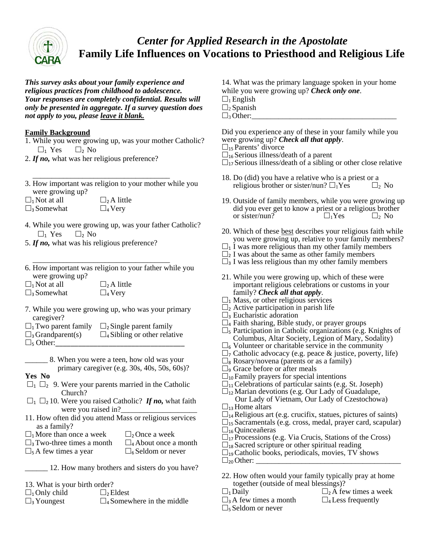

# *Center for Applied Research in the Apostolate*  **Family Life Influences on Vocations to Priesthood and Religious Life**

*This survey asks about your family experience and religious practices from childhood to adolescence. Your responses are completely confidential. Results will only be presented in aggregate. If a survey question does not apply to you, please leave it blank.* 

### **Family Background**

- 1. While you were growing up, was your mother Catholic?  $\Box_1$  Yes  $\Box_2$  No
- 2. *If no,* what was her religious preference?
- $\frac{1}{\sqrt{2\pi}}$  ,  $\frac{1}{\sqrt{2\pi}}$  ,  $\frac{1}{\sqrt{2\pi}}$  ,  $\frac{1}{\sqrt{2\pi}}$  ,  $\frac{1}{\sqrt{2\pi}}$  ,  $\frac{1}{\sqrt{2\pi}}$  ,  $\frac{1}{\sqrt{2\pi}}$  ,  $\frac{1}{\sqrt{2\pi}}$  ,  $\frac{1}{\sqrt{2\pi}}$  ,  $\frac{1}{\sqrt{2\pi}}$  ,  $\frac{1}{\sqrt{2\pi}}$  ,  $\frac{1}{\sqrt{2\pi}}$  ,  $\frac{1}{\sqrt{2\pi}}$  , 3. How important was religion to your mother while you were growing up?
- $\Box_1$  Not at all  $\Box_2$  A little
- $\Box_3$  Somewhat  $\Box_4$  Very
- 4. While you were growing up, was your father Catholic?  $\Box_1$  Yes  $\Box_2$  No
- 5. *If no,* what was his religious preference?
- $\frac{1}{\sqrt{2\pi}}$  ,  $\frac{1}{\sqrt{2\pi}}$  ,  $\frac{1}{\sqrt{2\pi}}$  ,  $\frac{1}{\sqrt{2\pi}}$  ,  $\frac{1}{\sqrt{2\pi}}$  ,  $\frac{1}{\sqrt{2\pi}}$  ,  $\frac{1}{\sqrt{2\pi}}$  ,  $\frac{1}{\sqrt{2\pi}}$  ,  $\frac{1}{\sqrt{2\pi}}$  ,  $\frac{1}{\sqrt{2\pi}}$  ,  $\frac{1}{\sqrt{2\pi}}$  ,  $\frac{1}{\sqrt{2\pi}}$  ,  $\frac{1}{\sqrt{2\pi}}$  , 6. How important was religion to your father while you were growing up?
- $\Box_1$  Not at all  $\Box_2$  A little  $\Box$ <sub>3</sub> Somewhat  $\Box$ <sub>4</sub> Very
- 7. While you were growing up, who was your primary caregiver?
- $\Box_1$  Two parent family  $\Box_2$  Single parent family
- $\square$ <sub>3</sub> Grandparent(s)  $\square$ <sub>4</sub> Sibling or other relative  $\square_5$  Other:
	- \_\_\_\_\_\_ 8. When you were a teen, how old was your primary caregiver (e.g. 30s, 40s, 50s, 60s)?
- **Yes No**
- $\Box_1$   $\Box_2$  9. Were your parents married in the Catholic Church?
- $\Box_1$   $\Box_2$  10. Were you raised Catholic? *If no*, what faith were you raised in?
- 11. How often did you attend Mass or religious services as a family?
- $\Box_1$  More than once a week  $\Box_2$  Once a week
- $\square$ <sub>3</sub>Two-three times a month  $\square$ <sub>4</sub>About once a month
	-
- $\Box_5$  A few times a year  $\Box_6$  Seldom or never
	- \_\_\_\_\_\_ 12. How many brothers and sisters do you have?
- 13. What is your birth order?

| $\Box_1$ Only child          | $\Box_2$ Eldest                     |
|------------------------------|-------------------------------------|
| $\Box$ <sub>3</sub> Youngest | $\square$ 4 Somewhere in the middle |

- 14. What was the primary language spoken in your home while you were growing up? *Check only one*.
- $\Box_1$  English
- $\Box_2$  Spanish
- $\square$ <sup>3</sup> Other:

Did you experience any of these in your family while you were growing up? *Check all that apply*.

- $\square_{15}$  Parents' divorce
- $\Box_{16}$  Serious illness/death of a parent
- $\Box_{17}$  Serious illness/death of a sibling or other close relative
- 18. Do (did) you have a relative who is a priest or a religious brother or sister/nun?  $\Box_1$ Yes  $\Box_2$  No
- 19. Outside of family members, while you were growing up did you ever get to know a priest or a religious brother or sister/nun?  $\square_1$ Yes  $\square_2$  No
- 20. Which of these best describes your religious faith while you were growing up, relative to your family members?
- $\Box_1$  I was more religious than my other family members
- $\Box$ <sub>2</sub> I was about the same as other family members
- $\square$ <sub>3</sub> I was less religious than my other family members
- 21. While you were growing up, which of these were important religious celebrations or customs in your family? *Check all that apply*.
- $\square$ <sub>1</sub> Mass, or other religious services
- $\square$ <sub>2</sub> Active participation in parish life
- $\square$ <sub>3</sub> Eucharistic adoration
- $\Box$ 4 Faith sharing, Bible study, or prayer groups
- $\square$ <sub>5</sub> Participation in Catholic organizations (e.g. Knights of Columbus, Altar Society, Legion of Mary, Sodality)
- $\square_6$  Volunteer or charitable service in the community
- $\Box$ <sub>7</sub> Catholic advocacy (e.g. peace  $\&$  justice, poverty, life)
- $\square_8$  Rosary/novena (parents or as a family)
- $\square$ <sub>9</sub> Grace before or after meals
- $\square_{10}$  Family prayers for special intentions
- $\square_{11}$ Celebrations of particular saints (e.g. St. Joseph)
- $\square_{12}$  Marian devotions (e.g. Our Lady of Guadalupe, Our Lady of Vietnam, Our Lady of Czestochowa)
- $\square_{13}$  Home altars
- $\square$ <sub>14</sub> Religious art (e.g. crucifix, statues, pictures of saints)
- $\square$ <sub>15</sub> Sacramentals (e.g. cross, medal, prayer card, scapular)  $\square$ <sub>16</sub> Quinceañeras
- $\square_{17}$  Processions (e.g. Via Crucis, Stations of the Cross)
- $\square_{18}$  Sacred scripture or other spiritual reading
- $\square_{19}$  Catholic books, periodicals, movies, TV shows
- $\square_{20}$  Other:
- 22. How often would your family typically pray at home together (outside of meal blessings)?
- 
- $\square$ <sub>3</sub>A few times a month  $\square$ <sub>4</sub> Less frequently
- $\square_1$ Daily  $\square_2$  A few times a week
	-
- 
- $\Box$ <sub>5</sub> Seldom or never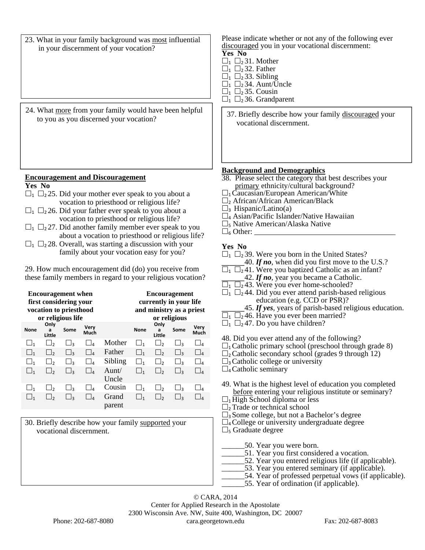- 23. What in your family background was most influential in your discernment of your vocation?
- 24. What more from your family would have been helpful

#### **Encouragement and Discouragement**

#### **Yes No**

- $\Box_1$   $\Box_2$  25. Did your mother ever speak to you about a vocation to priesthood or religious life?
- $\Box_1$   $\Box_2$  26. Did your father ever speak to you about a vocation to priesthood or religious life?
- $\Box_1$   $\Box_2$  27. Did another family member ever speak to you about a vocation to priesthood or religious life?
- $\Box_1$   $\Box_2$  28. Overall, was starting a discussion with your family about your vocation easy for you?

29. How much encouragement did (do) you receive from these family members in regard to your religious vocation?

| <b>Encouragement when</b><br>first considering your<br>vocation to priesthood<br>or religious life |                     |          |                                          | <b>Encouragement</b><br>currently in your life<br>and ministry as a priest<br>or religious |            |                     |          |                                          |
|----------------------------------------------------------------------------------------------------|---------------------|----------|------------------------------------------|--------------------------------------------------------------------------------------------|------------|---------------------|----------|------------------------------------------|
| None                                                                                               | Only<br>a<br>Little | Some     | Very<br>Much                             |                                                                                            | None       | Only<br>a<br>Little | Some     | Very<br>Much                             |
| □1                                                                                                 | $\Box$ 2            | $\Box_3$ | $\sqcup_{\scriptscriptstyle\mathcal{A}}$ | Mother                                                                                     | $\Box$ 1   | $\Box$              | ⊾ا       | $\Box_4$                                 |
| $\sqcup_1$                                                                                         | ∈∟                  | ⊔з       | $\sqcup_{\scriptscriptstyle\mathcal{A}}$ | Father                                                                                     | $\sqcup_1$ | $\Box$              | ⊔з       | $\sqcup_{\scriptscriptstyle\mathcal{A}}$ |
| □1                                                                                                 | $\overline{\Box}_2$ | $\Box_3$ | $\overline{\mathbb{L}}_4$                | Sibling                                                                                    | $\cup_1$   | ط∟                  | ⊾ا       | $\sqcup$                                 |
| $\Box$ 1                                                                                           | $\Box$              | Ш٩       | $\Box$ a                                 | Aunt/<br>Uncle                                                                             | $\Box$ 1   | $\Box$              | ∐з       | $\overline{a}$                           |
| □1                                                                                                 | $\vert \cdot \vert$ | ⊥่ว      | $\perp$                                  | Cousin                                                                                     | $ _1$      | $\vert \cdot \vert$ | $\Box_3$ | $\Box$ a                                 |
| $\Box$ 1                                                                                           | ١,                  | Jз       | ⅃ℴ                                       | Grand<br>parent                                                                            | $\Box$     | Jر                  | Jз       |                                          |

30. Briefly describe how your family supported your vocational discernment.

Please indicate whether or not any of the following ever discouraged you in your vocational discernment: **Yes No** 

- $\Box_1$   $\Box_2$  31. Mother
- $\square_1 \square_2 32$ . Father
- $\square_1 \square_2$  33. Sibling
- $\Box_1$   $\Box_2$  34. Aunt/Uncle
- $\Box_1$   $\Box_2$  35. Cousin
- $\Box_1$   $\Box_2$  36. Grandparent

what  $\frac{\text{hole}}{\text{hole}}$  from your family would have been helpful  $\left| \frac{37}{12} \right|$ . Briefly describe how your family discouraged your vocational discernment.

#### **Background and Demographics**

- 38. Please select the category that best describes your primary ethnicity/cultural background?
- $\Box_1$ Caucasian/European American/White
- $\Box_2$  African/African American/Black
- $\square$ <sub>3</sub> Hispanic/Latino(a)
- $\square$ <sub>4</sub> Asian/Pacific Islander/Native Hawaiian
- $\square$ <sub>5</sub> Native American/Alaska Native
- $\square_6$  Other:  $\square$

### **Yes No**

- $\Box_1$   $\Box_2$  39. Were you born in the United States?
- 40. If no, when did you first move to the U.S.?
- $\Box_1$   $\Box_2$ 41. Were you baptized Catholic as an infant?
	- \_\_\_\_\_\_42. *If no*, year you became a Catholic.
- $\Box_1$   $\Box_2$ 43. Were you ever home-schooled?
- $\Box_1$   $\Box_2$  44. Did you ever attend parish-based religious education (e.g. CCD or PSR)?
	- \_\_\_\_\_\_45. *If yes*, years of parish-based religious education.
- $\Box_1$   $\Box_2$  46. Have you ever been married?
- $\Box_1$   $\Box_2$ 47. Do you have children?
- 48. Did you ever attend any of the following?
- $\Box$ <sub>1</sub> Catholic primary school (preschool through grade 8)
- $\square$ <sub>2</sub> Catholic secondary school (grades 9 through 12)
- $\square$ <sub>3</sub> Catholic college or university
- $\square$ <sub>4</sub> Catholic seminary
- 49. What is the highest level of education you completed before entering your religious institute or seminary?
- $\Box_1$  High School diploma or less
- $\Box$ <sub>2</sub>Trade or technical school
- $\square$ <sub>3</sub> Some college, but not a Bachelor's degree
- $\Box$ 4 College or university undergraduate degree
- $\square$ <sub>5</sub> Graduate degree
	- \_\_\_\_\_\_50. Year you were born.
	- \_\_\_\_\_\_51. Year you first considered a vocation.
	- \_\_\_\_\_\_52. Year you entered religious life (if applicable).
	- \_\_\_\_\_\_53. Year you entered seminary (if applicable).
	- 54. Year of professed perpetual vows (if applicable).
		- 55. Year of ordination (if applicable).